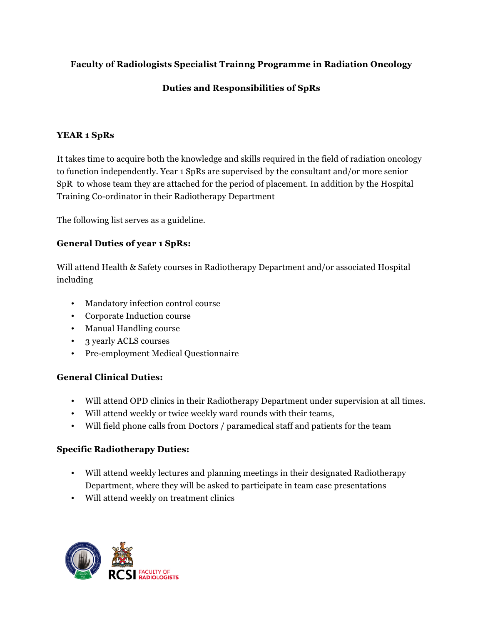# **Faculty of Radiologists Specialist Trainng Programme in Radiation Oncology**

## **Duties and Responsibilities of SpRs**

#### **YEAR 1 SpRs**

It takes time to acquire both the knowledge and skills required in the field of radiation oncology to function independently. Year 1 SpRs are supervised by the consultant and/or more senior SpR to whose team they are attached for the period of placement. In addition by the Hospital Training Co-ordinator in their Radiotherapy Department

The following list serves as a guideline.

### **General Duties of year 1 SpRs:**

Will attend Health & Safety courses in Radiotherapy Department and/or associated Hospital including

- Mandatory infection control course
- Corporate Induction course
- Manual Handling course
- 3 yearly ACLS courses
- Pre-employment Medical Questionnaire

### **General Clinical Duties:**

- Will attend OPD clinics in their Radiotherapy Department under supervision at all times.
- Will attend weekly or twice weekly ward rounds with their teams,
- Will field phone calls from Doctors / paramedical staff and patients for the team

### **Specific Radiotherapy Duties:**

- Will attend weekly lectures and planning meetings in their designated Radiotherapy Department, where they will be asked to participate in team case presentations
- Will attend weekly on treatment clinics

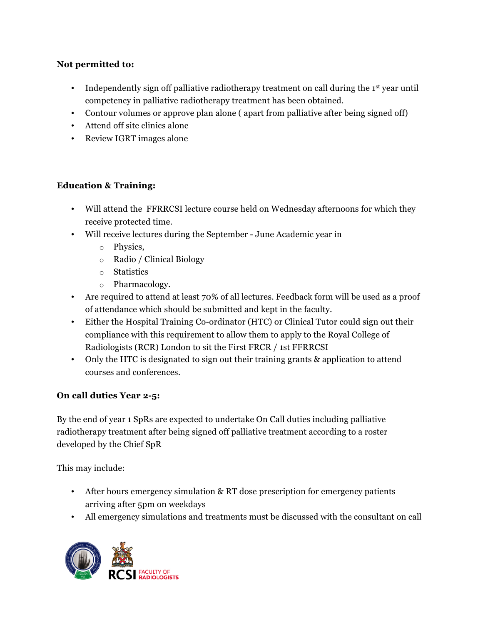## **Not permitted to:**

- Independently sign off palliative radiotherapy treatment on call during the  $1<sup>st</sup>$  year until competency in palliative radiotherapy treatment has been obtained.
- Contour volumes or approve plan alone ( apart from palliative after being signed off)
- Attend off site clinics alone
- Review IGRT images alone

## **Education & Training:**

- Will attend the FFRRCSI lecture course held on Wednesday afternoons for which they receive protected time.
- Will receive lectures during the September June Academic year in
	- o Physics,
	- o Radio / Clinical Biology
	- o Statistics
	- o Pharmacology.
- Are required to attend at least 70% of all lectures. Feedback form will be used as a proof of attendance which should be submitted and kept in the faculty.
- Either the Hospital Training Co-ordinator (HTC) or Clinical Tutor could sign out their compliance with this requirement to allow them to apply to the Royal College of Radiologists (RCR) London to sit the First FRCR / 1st FFRRCSI
- Only the HTC is designated to sign out their training grants & application to attend courses and conferences.

# **On call duties Year 2-5:**

By the end of year 1 SpRs are expected to undertake On Call duties including palliative radiotherapy treatment after being signed off palliative treatment according to a roster developed by the Chief SpR

This may include:

- After hours emergency simulation & RT dose prescription for emergency patients arriving after 5pm on weekdays
- All emergency simulations and treatments must be discussed with the consultant on call

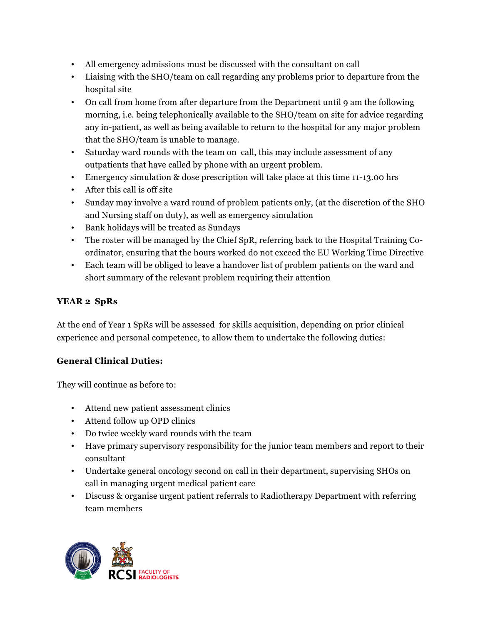- All emergency admissions must be discussed with the consultant on call
- Liaising with the SHO/team on call regarding any problems prior to departure from the hospital site
- On call from home from after departure from the Department until 9 am the following morning, i.e. being telephonically available to the SHO/team on site for advice regarding any in-patient, as well as being available to return to the hospital for any major problem that the SHO/team is unable to manage.
- Saturday ward rounds with the team on call, this may include assessment of any outpatients that have called by phone with an urgent problem.
- Emergency simulation & dose prescription will take place at this time 11-13.00 hrs
- After this call is off site
- Sunday may involve a ward round of problem patients only, (at the discretion of the SHO and Nursing staff on duty), as well as emergency simulation
- Bank holidays will be treated as Sundays
- The roster will be managed by the Chief SpR, referring back to the Hospital Training Coordinator, ensuring that the hours worked do not exceed the EU Working Time Directive
- Each team will be obliged to leave a handover list of problem patients on the ward and short summary of the relevant problem requiring their attention

# **YEAR 2 SpRs**

At the end of Year 1 SpRs will be assessed for skills acquisition, depending on prior clinical experience and personal competence, to allow them to undertake the following duties:

# **General Clinical Duties:**

They will continue as before to:

- Attend new patient assessment clinics
- Attend follow up OPD clinics
- Do twice weekly ward rounds with the team
- Have primary supervisory responsibility for the junior team members and report to their consultant
- Undertake general oncology second on call in their department, supervising SHOs on call in managing urgent medical patient care
- Discuss & organise urgent patient referrals to Radiotherapy Department with referring team members

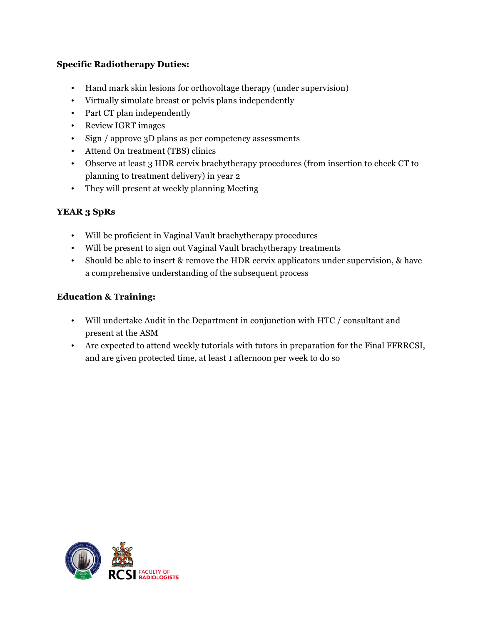## **Specific Radiotherapy Duties:**

- Hand mark skin lesions for orthovoltage therapy (under supervision)
- Virtually simulate breast or pelvis plans independently
- Part CT plan independently
- Review IGRT images
- Sign / approve 3D plans as per competency assessments
- Attend On treatment (TBS) clinics
- Observe at least 3 HDR cervix brachytherapy procedures (from insertion to check CT to planning to treatment delivery) in year 2
- They will present at weekly planning Meeting

# **YEAR 3 SpRs**

- Will be proficient in Vaginal Vault brachytherapy procedures
- Will be present to sign out Vaginal Vault brachytherapy treatments
- Should be able to insert & remove the HDR cervix applicators under supervision, & have a comprehensive understanding of the subsequent process

# **Education & Training:**

- Will undertake Audit in the Department in conjunction with HTC / consultant and present at the ASM
- Are expected to attend weekly tutorials with tutors in preparation for the Final FFRRCSI, and are given protected time, at least 1 afternoon per week to do so

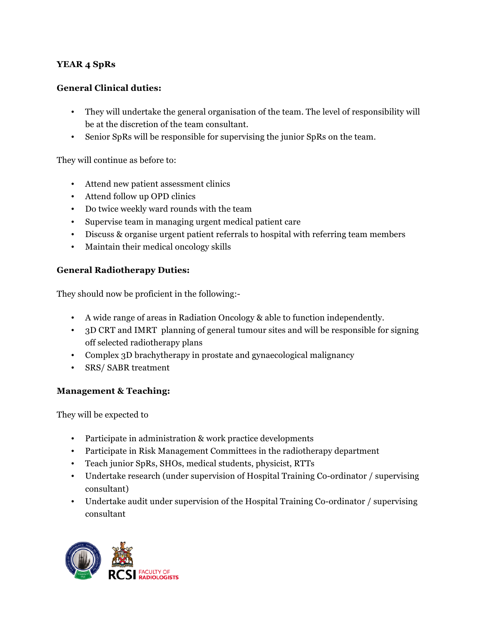## **YEAR 4 SpRs**

### **General Clinical duties:**

- They will undertake the general organisation of the team. The level of responsibility will be at the discretion of the team consultant.
- Senior SpRs will be responsible for supervising the junior SpRs on the team.

They will continue as before to:

- Attend new patient assessment clinics
- Attend follow up OPD clinics
- Do twice weekly ward rounds with the team
- Supervise team in managing urgent medical patient care
- Discuss & organise urgent patient referrals to hospital with referring team members
- Maintain their medical oncology skills

### **General Radiotherapy Duties:**

They should now be proficient in the following:-

- A wide range of areas in Radiation Oncology & able to function independently.
- 3D CRT and IMRT planning of general tumour sites and will be responsible for signing off selected radiotherapy plans
- Complex 3D brachytherapy in prostate and gynaecological malignancy
- SRS/ SABR treatment

### **Management & Teaching:**

They will be expected to

- Participate in administration & work practice developments
- Participate in Risk Management Committees in the radiotherapy department
- Teach junior SpRs, SHOs, medical students, physicist, RTTs
- Undertake research (under supervision of Hospital Training Co-ordinator / supervising consultant)
- Undertake audit under supervision of the Hospital Training Co-ordinator / supervising consultant